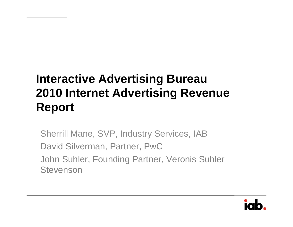## **Interactive Advertising Bureau 2010 Internet Advertising Revenue Report**

Sherrill Mane, SVP, Industry Services, IAB David Silverman, Partner, PwC John Suhler, Founding Partner, Veronis Suhler **Stevenson** 

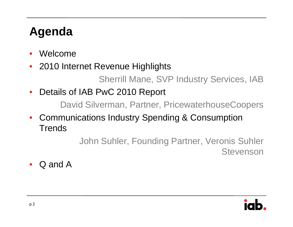## **Agenda**

- •Welcome
- •2010 Internet Revenue Highlights

Sherrill Mane, SVP Industry Services, IAB

•Details of IAB PwC 2010 Report

David Silverman, Partner, PricewaterhouseCoopers

• Communications Industry Spending & Consumption **Trends** 

> John Suhler, Founding Partner, Veronis Suhler Stevenson

•Q and A

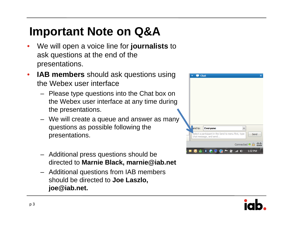## **Important Note on Q&A**

- • We will open a voice line for **journalists** to ask questions at the end of the presentations.
- $\bullet$  **IAB members** should ask questions using the Webex user interface
	- Please type questions into the Chat box on the Webex user interface at any time during the presentations.
	- We will create a queue and answer as many questions as possible following the presentations.
	- Additional press questions should be directed to **Marnie Black, marnie@iab.net**
	- Additional questions from IAB members should be directed to **Joe Laszlo, joe@iab.net.**



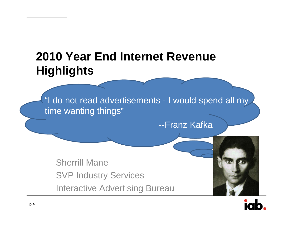## **2010 Year End Internet Revenue Highlights**

"I do not read advertisements - I would spend all my time wanting things"

--Franz Kafka

Sherrill ManeSVP Industry Services Interactive Advertising Bureau



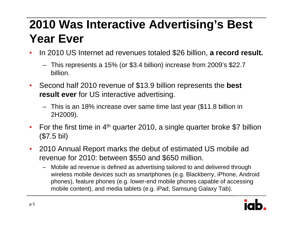## **2010 Was Interactive Advertising's Best Year Ever**

- $\bullet$  In 2010 US Internet ad revenues totaled \$26 billion, **a record result.**
	- This represents a 15% (or \$3.4 billion) increase from 2009's \$22.7 billion.
- $\bullet$  Second half 2010 revenue of \$13.9 billion represents the **best result ever** for US interactive advertising.
	- This is an 18% increase over same time last year (\$11.8 billion in 2H2009).
- $\bullet$ For the first time in  $4<sup>th</sup>$  quarter 2010, a single quarter broke \$7 billion (\$7.5 bil)
- $\bullet$  2010 Annual Report marks the debut of estimated US mobile ad revenue for 2010: between \$550 and \$650 million.
	- Mobile ad revenue is defined as advertising tailored to and delivered through wireless mobile devices such as smartphones (e.g. Blackberry, iPhone, Android phones), feature phones (e.g. lower-end mobile phones capable of accessing mobile content), and media tablets (e.g. iPad, Samsung Galaxy Tab).

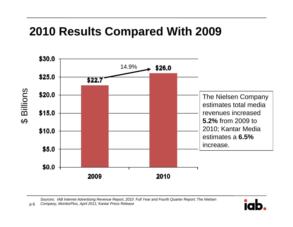## **2010 Results Compared With 2009**



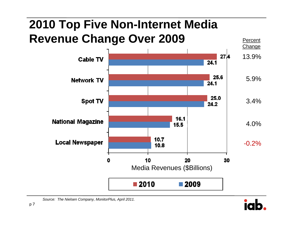## **2010 Top Five Non-Internet Media Revenue Change Over 2009** Percent



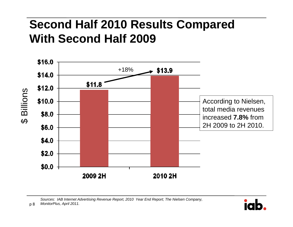## **Second Half 2010 Results Compared With Second Half 2009**



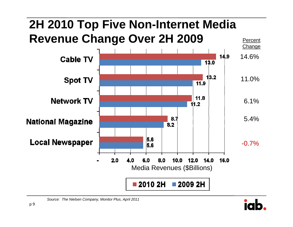# **2H 2010 Top Five Non-Internet Media Revenue Change Over 2H 2009** Percent



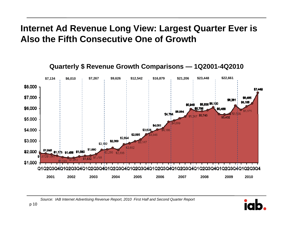#### **Internet Ad Revenue Long View: Largest Quarter Ever is Also the Fifth Consecutive One of Growth**



#### **Quarterly \$ Revenue Growth Comparisons — 1Q2001-4Q2010**

*Source: IAB Internet Advertising Revenue Report, 2010 First Half and Second Quarter Report*

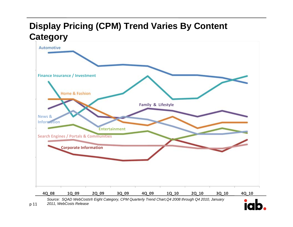#### **Display Pricing (CPM) Trend Varies By Content Category**



p <sup>11</sup> *2011, WebCosts Release*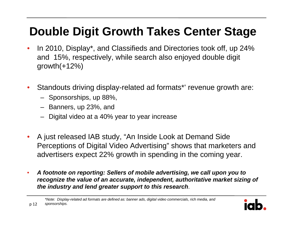## **Double Digit Growth Takes Center Stage**

- • In 2010, Display\*, and Classifieds and Directories took off, up 24% and 15%, respectively, while search also enjoyed double digit growth $(+12%)$
- • Standouts driving display-related ad formats\*' revenue growth are:
	- Sponsorships, up 88%,
	- –Banners, up 23%, and
	- Digital video at a 40% year to year increase
- • A just released IAB study, "An Inside Look at Demand Side Perceptions of Digital Video Advertising" shows that marketers and advertisers expect 22% growth in spending in the coming year.
- $\bullet$  *A footnote on reporting: Sellers of mobile advertising, we call upon you to recognize the value of an accurate, independent, authoritative market sizing of the industry and lend greater support to this research*.

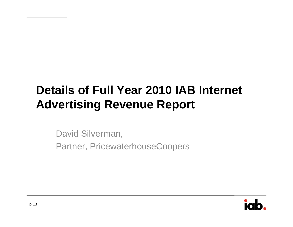## **Details of Full Year 2010 IAB Internet Advertising Revenue Report**

David Silverman,

Partner, PricewaterhouseCoopers

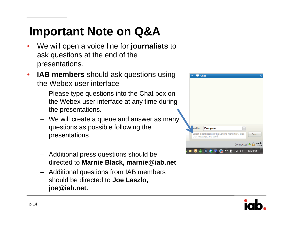## **Important Note on Q&A**

- • We will open a voice line for **journalists** to ask questions at the end of the presentations.
- $\bullet$  **IAB members** should ask questions using the Webex user interface
	- Please type questions into the Chat box on the Webex user interface at any time during the presentations.
	- We will create a queue and answer as many questions as possible following the presentations.
	- Additional press questions should be directed to **Marnie Black, marnie@iab.net**
	- Additional questions from IAB members should be directed to **Joe Laszlo, joe@iab.net.**